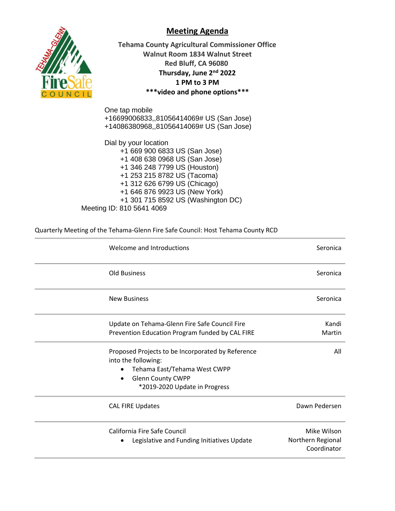



**Tehama County Agricultural Commissioner Office Walnut Room 1834 Walnut Street Red Bluff, CA 96080 Thursday, June 2nd 2022 1 PM to 3 PM \*\*\*video and phone options\*\*\***

One tap mobile +16699006833,,81056414069# US (San Jose) +14086380968,,81056414069# US (San Jose)

Dial by your location +1 669 900 6833 US (San Jose) +1 408 638 0968 US (San Jose) +1 346 248 7799 US (Houston) +1 253 215 8782 US (Tacoma) +1 312 626 6799 US (Chicago) +1 646 876 9923 US (New York) +1 301 715 8592 US (Washington DC) Meeting ID: 810 5641 4069

Quarterly Meeting of the Tehama-Glenn Fire Safe Council: Host Tehama County RCD

| Welcome and Introductions                                                  | Seronica                                        |
|----------------------------------------------------------------------------|-------------------------------------------------|
| <b>Old Business</b>                                                        | Seronica                                        |
| <b>New Business</b>                                                        | Seronica                                        |
| Update on Tehama-Glenn Fire Safe Council Fire                              | Kandi                                           |
| Prevention Education Program funded by CAL FIRE                            | Martin                                          |
| Proposed Projects to be Incorporated by Reference<br>into the following:   | All                                             |
| Tehama East/Tehama West CWPP<br>$\bullet$                                  |                                                 |
| <b>Glenn County CWPP</b><br>$\bullet$                                      |                                                 |
| *2019-2020 Update in Progress                                              |                                                 |
| <b>CAL FIRE Updates</b>                                                    | Dawn Pedersen                                   |
| California Fire Safe Council<br>Legislative and Funding Initiatives Update | Mike Wilson<br>Northern Regional<br>Coordinator |